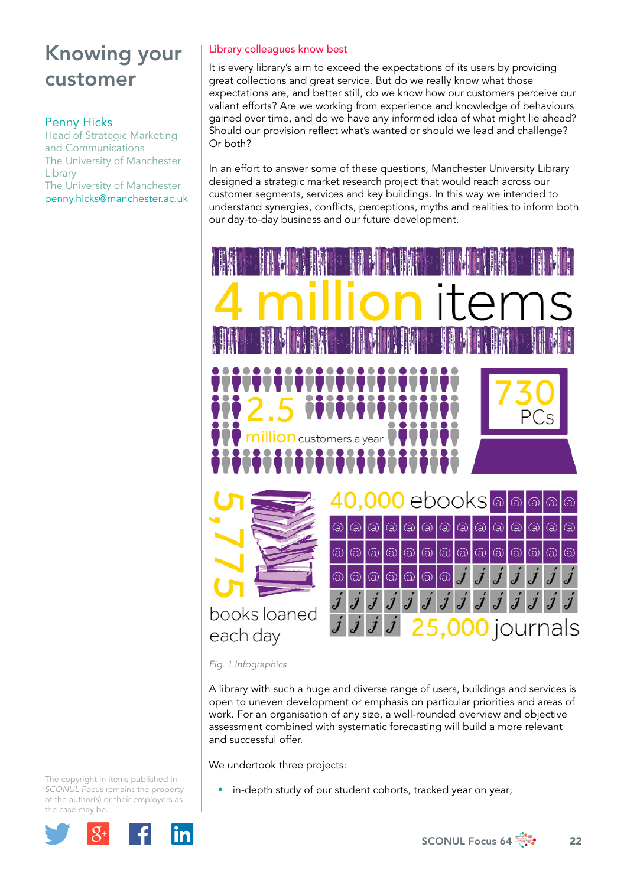## Penny Hicks

Head of Strategic Marketing and Communications The University of Manchester **Library** The University of Manchester penny.hicks@manchester.ac.uk

## Library colleagues know best

It is every library's aim to exceed the expectations of its users by providing great collections and great service. But do we really know what those expectations are, and better still, do we know how our customers perceive our valiant efforts? Are we working from experience and knowledge of behaviours gained over time, and do we have any informed idea of what might lie ahead? Should our provision reflect what's wanted or should we lead and challenge? Or both?

In an effort to answer some of these questions, Manchester University Library designed a strategic market research project that would reach across our customer segments, services and key buildings. In this way we intended to understand synergies, conflicts, perceptions, myths and realities to inform both our day-to-day business and our future development.



*Fig. 1 Infographics* 

A library with such a huge and diverse range of users, buildings and services is open to uneven development or emphasis on particular priorities and areas of work. For an organisation of any size, a well-rounded overview and objective assessment combined with systematic forecasting will build a more relevant and successful offer.

We undertook three projects:

• in-depth study of our student cohorts, tracked year on year;

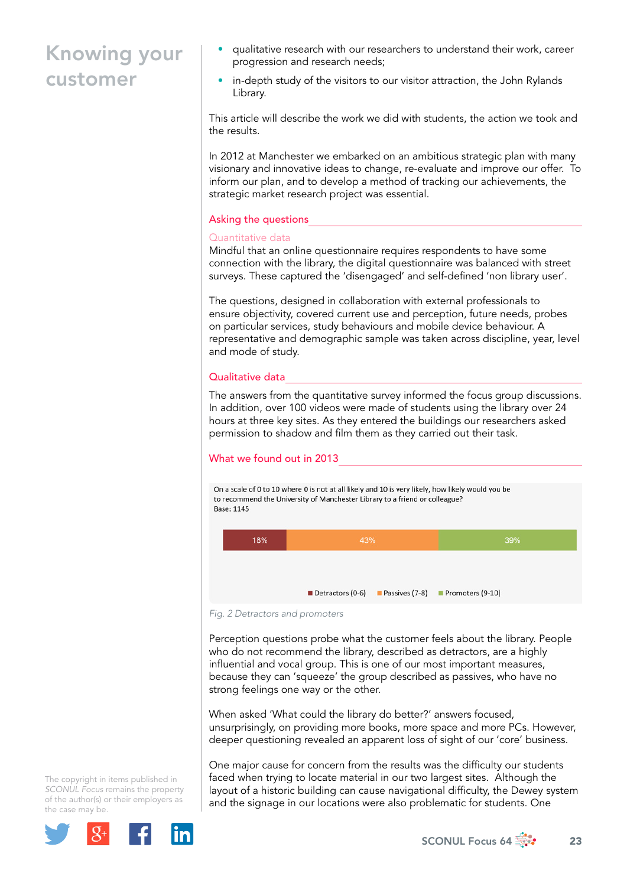- qualitative research with our researchers to understand their work, career progression and research needs;
- in-depth study of the visitors to our visitor attraction, the John Rylands Library.

This article will describe the work we did with students, the action we took and the results.

In 2012 at Manchester we embarked on an ambitious strategic plan with many visionary and innovative ideas to change, re-evaluate and improve our offer. To inform our plan, and to develop a method of tracking our achievements, the strategic market research project was essential.

### Asking the questions

#### Quantitative data

Mindful that an online questionnaire requires respondents to have some connection with the library, the digital questionnaire was balanced with street surveys. These captured the 'disengaged' and self-defined 'non library user'.

The questions, designed in collaboration with external professionals to ensure objectivity, covered current use and perception, future needs, probes on particular services, study behaviours and mobile device behaviour. A representative and demographic sample was taken across discipline, year, level and mode of study.

#### Qualitative data

The answers from the quantitative survey informed the focus group discussions. In addition, over 100 videos were made of students using the library over 24 hours at three key sites. As they entered the buildings our researchers asked permission to shadow and film them as they carried out their task.

### What we found out in 2013

On a scale of 0 to 10 where 0 is not at all likely and 10 is very likely, how likely would you be to recommend the University of Manchester Library to a friend or colleague? **Base: 1145** 



*Fig. 2 Detractors and promoters* 

Perception questions probe what the customer feels about the library. People who do not recommend the library, described as detractors, are a highly influential and vocal group. This is one of our most important measures, because they can 'squeeze' the group described as passives, who have no strong feelings one way or the other.

When asked 'What could the library do better?' answers focused, unsurprisingly, on providing more books, more space and more PCs. However, deeper questioning revealed an apparent loss of sight of our 'core' business.

One major cause for concern from the results was the difficulty our students faced when trying to locate material in our two largest sites. Although the layout of a historic building can cause navigational difficulty, the Dewey system and the signage in our locations were also problematic for students. One

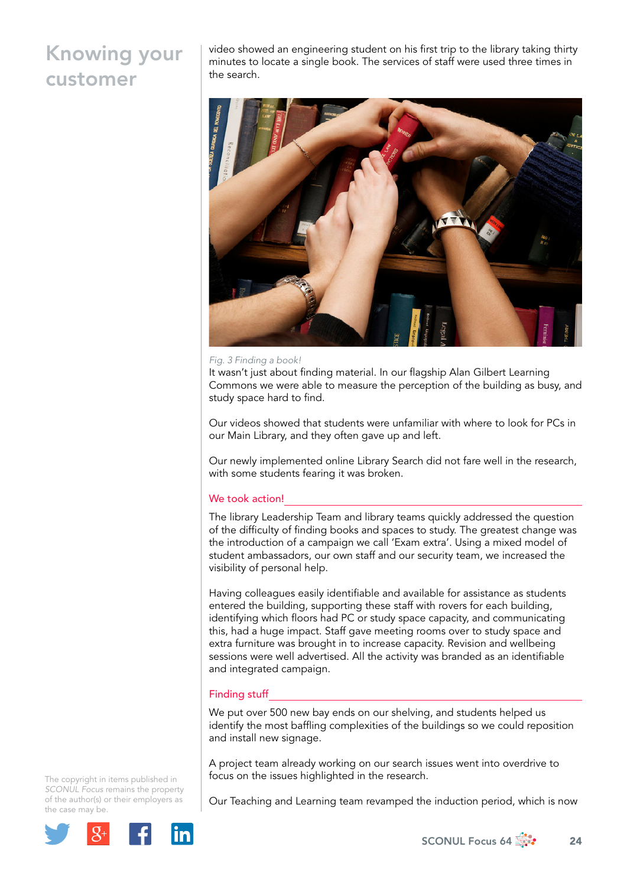video showed an engineering student on his first trip to the library taking thirty minutes to locate a single book. The services of staff were used three times in the search.



#### *Fig. 3 Finding a book!*

It wasn't just about finding material. In our flagship Alan Gilbert Learning Commons we were able to measure the perception of the building as busy, and study space hard to find.

Our videos showed that students were unfamiliar with where to look for PCs in our Main Library, and they often gave up and left.

Our newly implemented online Library Search did not fare well in the research, with some students fearing it was broken.

#### We took action!

The library Leadership Team and library teams quickly addressed the question of the difficulty of finding books and spaces to study. The greatest change was the introduction of a campaign we call 'Exam extra'. Using a mixed model of student ambassadors, our own staff and our security team, we increased the visibility of personal help.

Having colleagues easily identifiable and available for assistance as students entered the building, supporting these staff with rovers for each building, identifying which floors had PC or study space capacity, and communicating this, had a huge impact. Staff gave meeting rooms over to study space and extra furniture was brought in to increase capacity. Revision and wellbeing sessions were well advertised. All the activity was branded as an identifiable and integrated campaign.

### Finding stuff

We put over 500 new bay ends on our shelving, and students helped us identify the most baffling complexities of the buildings so we could reposition and install new signage.

A project team already working on our search issues went into overdrive to focus on the issues highlighted in the research.

Our Teaching and Learning team revamped the induction period, which is now

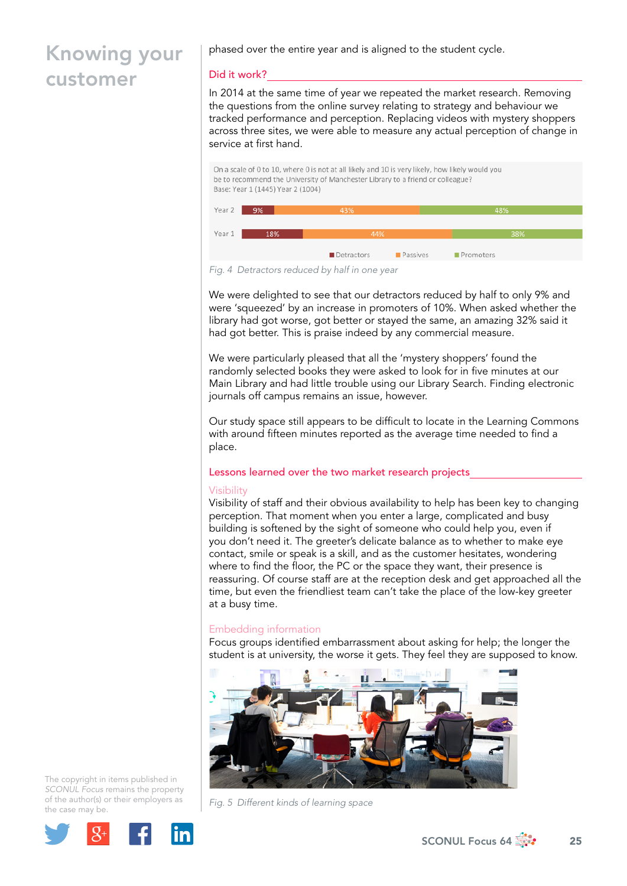phased over the entire year and is aligned to the student cycle.

## Did it work?

In 2014 at the same time of year we repeated the market research. Removing the questions from the online survey relating to strategy and behaviour we tracked performance and perception. Replacing videos with mystery shoppers across three sites, we were able to measure any actual perception of change in service at first hand.

On a scale of 0 to 10, where 0 is not at all likely and 10 is very likely, how likely would you be to recommend the University of Manchester Library to a friend or colleague? Base: Year 1 (1445) Year 2 (1004)



*Fig. 4 Detractors reduced by half in one year* 

We were delighted to see that our detractors reduced by half to only 9% and were 'squeezed' by an increase in promoters of 10%. When asked whether the library had got worse, got better or stayed the same, an amazing 32% said it had got better. This is praise indeed by any commercial measure.

We were particularly pleased that all the 'mystery shoppers' found the randomly selected books they were asked to look for in five minutes at our Main Library and had little trouble using our Library Search. Finding electronic journals off campus remains an issue, however.

Our study space still appears to be difficult to locate in the Learning Commons with around fifteen minutes reported as the average time needed to find a place.

### Lessons learned over the two market research projects

### **Visibility**

Visibility of staff and their obvious availability to help has been key to changing perception. That moment when you enter a large, complicated and busy building is softened by the sight of someone who could help you, even if you don't need it. The greeter's delicate balance as to whether to make eye contact, smile or speak is a skill, and as the customer hesitates, wondering where to find the floor, the PC or the space they want, their presence is reassuring. Of course staff are at the reception desk and get approached all the time, but even the friendliest team can't take the place of the low-key greeter at a busy time.

## Embedding information

Focus groups identified embarrassment about asking for help; the longer the student is at university, the worse it gets. They feel they are supposed to know.



*Fig. 5 Different kinds of learning space*